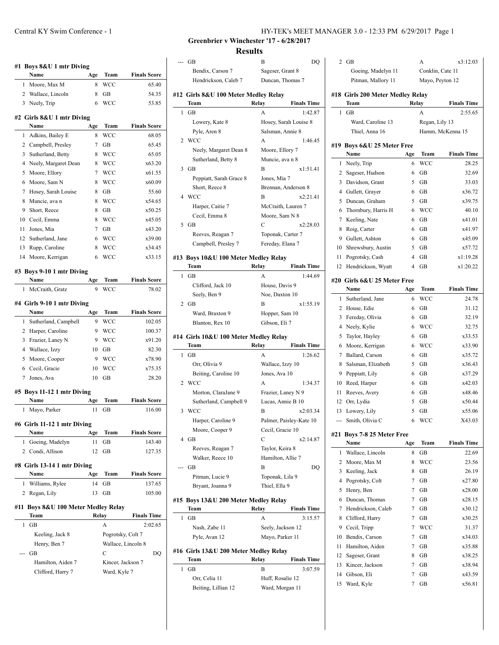|                     | Name                                | Age       | Team              | <b>Finals Score</b>           |
|---------------------|-------------------------------------|-----------|-------------------|-------------------------------|
| 1                   | Moore, Max M                        | 8         | WCC               | 65.40                         |
| 2                   | Wallace, Lincoln                    | 8         | GВ                | 54.35                         |
| 3                   | Neely, Trip                         | 6         | <b>WCC</b>        | 53.85                         |
|                     | #2 Girls 8&U 1 mtr Diving           |           |                   |                               |
|                     | Name                                | Age       | Team              | <b>Finals Score</b>           |
| 1                   | Adkins, Bailey E                    | 8         | WCC               | 68.05                         |
| 2                   | Campbell, Presley                   | 7         | GB                | 65.45                         |
| 3                   | Sutherland, Betty                   | 8         | <b>WCC</b>        | 65.05                         |
| 4                   | Neely, Margaret Dean                | 8         | <b>WCC</b>        | x63.20                        |
| 5                   | Moore, Ellory                       | 7         | <b>WCC</b>        | x61.55                        |
| 6                   | Moore, Sam N                        | 8         | <b>WCC</b>        | x60.09                        |
| 7                   | Hosey, Sarah Louise                 | 8         | GВ                | 55.60                         |
| 8                   | Muncie, ava n                       | 8         | WCC               | x54.65                        |
| 9                   | Short, Reece                        | 8         | GВ                | x50.25                        |
| 10                  | Cecil, Emma                         | 8         | <b>WCC</b>        | x45.05                        |
| 11                  | Jones, Mia                          | 7         | GВ                | x43.20                        |
| 12                  | Sutherland, Jane                    | 6         | <b>WCC</b>        | x39.00                        |
| 13                  | Rupp, Caroline                      | 8         | <b>WCC</b>        | x34.45                        |
| 14                  | Moore, Kerrigan                     | 6         | WCC               | x33.15                        |
|                     | #3 Boys 9-10 1 mtr Diving           |           |                   |                               |
|                     | Name                                | Age       | Team              | <b>Finals Score</b>           |
| 1                   | McCraith, Gratz                     | 9         | WCC               | 78.02                         |
|                     | #4 Girls 9-10 1 mtr Diving          |           |                   |                               |
|                     | Name                                | Age       | Team              | <b>Finals Score</b>           |
| 1                   | Sutherland, Campbell                | 9         | WCC               | 102.05                        |
| 2                   | Harper, Caroline                    | 9         | WCC               | 100.37                        |
| 3                   | Frazier, Laney N                    | 9         | WCC               | x91.20                        |
| 4                   | Wallace, Izzy                       | 10        | GB                | 82.30                         |
|                     |                                     |           |                   |                               |
| 5                   | Moore, Cooper                       | 9         | WCC               | x78.90                        |
| 6                   | Cecil, Gracie                       | 10        | WCC               | x75.35                        |
| 7                   | Jones, Ava                          | 10        | <b>GB</b>         | 28.20                         |
|                     | #5 Boys 11-12 1 mtr Diving          |           |                   |                               |
| 1                   | Name                                | Age<br>11 | Team<br>GВ        | <b>Finals Score</b><br>116.00 |
|                     | Mayo, Parker                        |           |                   |                               |
|                     | #6 Girls 11-12 1 mtr Diving<br>Name |           | <b>Team</b>       |                               |
|                     |                                     | Age       |                   | <b>Finals Score</b>           |
| 1<br>$\overline{2}$ | Goeing, Madelyn<br>Condi, Allison   | 11<br>12  | GВ<br>GB          | 143.40<br>127.35              |
|                     | #8 Girls 13-14 1 mtr Diving         |           |                   |                               |
|                     | Name                                | Age       | Team              | <b>Finals Score</b>           |
| 1                   | Williams, Rylee                     | 14        | GВ                | 137.65                        |
| 2                   | Regan, Lily                         | 13        | GB                | 105.00                        |
|                     | Boys 8&U 100 Meter Medley Relay     |           |                   |                               |
|                     | Team                                |           | Relay             | <b>Finals Time</b>            |
| 1                   | GB                                  |           | A                 | 2:02.65                       |
|                     | Keeling, Jack 8                     |           | Pogrotsky, Colt 7 |                               |
|                     | Henry, Ben 7                        |           |                   | Wallace, Lincoln 8            |
|                     | GB                                  |           | C                 | DQ                            |
| #11                 | Hamilton, Aiden 7                   |           | Kincer, Jackson 7 |                               |

2 GB A x3:12.03

**Greenbrier v Winchester '17 - 6/28/2017**

**Results**

|   | GВ                                            | B<br>DQ                                     |    |
|---|-----------------------------------------------|---------------------------------------------|----|
|   | Bendix, Carson 7                              | Sageser, Grant 8                            |    |
|   | Hendrickson, Caleb 7                          | Duncan, Thomas 7                            |    |
|   |                                               |                                             |    |
|   | #12 Girls 8&U 100 Meter Medley Relay<br>Team  | <b>Finals Time</b><br>Relay                 | #  |
| 1 | GВ                                            | 1:42.87<br>A                                |    |
|   |                                               | Hosey, Sarah Louise 8                       |    |
|   | Lowery, Kate 8                                |                                             |    |
| 2 | Pyle, Aren 8<br>WCC                           | Salsman, Annie 8<br>A<br>1:46.45            |    |
|   |                                               |                                             | #  |
|   | Neely, Margaret Dean 8<br>Sutherland, Betty 8 | Moore, Ellory 7<br>Muncie, ava n 8          |    |
| 3 | GB                                            | B<br>x1:51.41                               |    |
|   |                                               |                                             |    |
|   | Peppiatt, Sarah Grace 8                       | Jones, Mia 7<br>Brennan, Anderson 8         |    |
| 4 | Short, Reece 8<br>WCC                         | B<br>x2:21.41                               |    |
|   |                                               |                                             |    |
|   | Harper, Caitie 7                              | McCraith, Lauren 7                          |    |
| 5 | Cecil, Emma 8<br>GB                           | Moore, Sam N 8<br>C<br>x2:28.03             |    |
|   |                                               |                                             |    |
|   | Reeves, Reagan 7                              | Toponak, Carter 7                           |    |
|   | Campbell, Presley 7                           | Fereday, Elana 7                            |    |
|   | #13 Boys 10&U 100 Meter Medley Relay          |                                             |    |
|   | Team                                          | Relay<br><b>Finals Time</b>                 |    |
| 1 | GВ                                            | 1:44.69<br>А                                | #. |
|   | Clifford, Jack 10                             | House, Davis 9                              |    |
|   | Seely, Ben 9                                  | Noe, Daxton 10                              |    |
| 2 | GB                                            | B<br>x1:55.19                               |    |
|   | Ward, Braxton 9                               | Hopper, Sam 10                              |    |
|   | Blanton, Rex 10                               | Gibson, Eli 7                               |    |
|   |                                               |                                             |    |
|   | #14 Girls 10&U 100 Meter Medley Relay         |                                             |    |
| 1 | Team<br>GВ                                    | Relay<br><b>Finals Time</b><br>A            |    |
|   |                                               | 1:26.62                                     |    |
|   | Orr, Olivia 9                                 | Wallace, Izzy 10                            |    |
| 2 | Beiting, Caroline 10<br><b>WCC</b>            | Jones, Ava 10<br>A                          |    |
|   |                                               | 1:34.37                                     |    |
|   | Morton, ClaraJane 9                           | Frazier, Laney N 9                          |    |
| 3 | Sutherland, Campbell 9<br><b>WCC</b>          | Lucas, Annie B 10<br>B<br>x2:03.34          |    |
|   |                                               |                                             |    |
|   | Harper, Caroline 9<br>Moore, Cooper 9         | Palmer, Paisley-Kate 10<br>Cecil, Gracie 10 |    |
| 4 | GВ                                            | С<br>x2:14.87                               | #. |
|   | Reeves, Reagan 7                              | Taylor, Keira 8                             |    |
|   | Walker, Reece 10                              | Hamilton, Allie 7                           |    |
|   | GВ                                            | B<br>DQ                                     |    |
|   | Pitman, Lucie 9                               | Toponak, Lila 9                             |    |
|   | Bryant, Joanna 9                              | Thiel, Ella 9                               |    |
|   |                                               |                                             |    |
|   | #15 Boys 13&U 200 Meter Medley Relay          |                                             |    |
| 1 | Team                                          | Relay<br><b>Finals Time</b><br>А            |    |
|   | GВ                                            | 3:15.57                                     |    |
|   | Nash, Zabe 11                                 | Seely, Jackson 12                           |    |
|   | Pyle, Avan 12                                 | Mayo, Parker 11                             |    |
|   | #16  Girls 13&U 200 Meter Medley Relay        |                                             |    |
|   | Team                                          | Relay<br><b>Finals Time</b>                 |    |
| 1 | GВ                                            | B<br>3:07.59                                |    |
|   | Orr, Celia 11<br>Beiting, Lillian 12          | Huff, Rosalie 12<br>Ward, Morgan 11         |    |

|                | Goeing, Madelyn 11                    |                | Conklin, Cate 11 |                             |
|----------------|---------------------------------------|----------------|------------------|-----------------------------|
|                | Pitman, Mallory 11                    |                | Mayo, Peyton 12  |                             |
|                | #18 Girls 200 Meter Medley Relay      |                |                  |                             |
|                | Team                                  | Relay          |                  | <b>Finals Time</b>          |
| 1              | GB                                    |                | A                | 2:55.65                     |
|                | Ward, Caroline 13                     |                | Regan, Lily 13   |                             |
|                | Thiel, Anna 16                        |                |                  | Hamm, McKenna 15            |
|                | #19 Boys 6&U 25 Meter Free            |                |                  |                             |
|                | Name                                  | Age            | Team             | <b>Finals Time</b>          |
| 1              | Neely, Trip                           | 6              | <b>WCC</b>       | 28.25                       |
| 2              | Sageser, Hudson                       | 6              | GВ               | 32.69                       |
| 3              | Davidson, Grant                       | 5              | GВ               | 33.03                       |
| $\overline{4}$ | Gullett, Grayer                       | 6              | GB               | x36.72                      |
| 5              | Duncan, Graham                        | 5              | GB               | x39.75                      |
| 6              | Thornbury, Harris H                   | 6              | WCC              | 40.10                       |
| 7              | Keeling, Nate                         | 6              | GB               | x41.01                      |
| 8              | Roig, Carter                          | 6              | GB               | x41.97                      |
| 9              | Gullett, Ashton                       | 6              | GB               | x45.09                      |
| 10             | Shrewsbury, Austin                    | 5              | GB               | x57.72                      |
| 11             | Pogrotsky, Cash                       | $\overline{4}$ | GB               | x1:19.28                    |
| 12             | Hendrickson, Wyatt                    | 4              | GВ               | x1:20.22                    |
|                |                                       |                |                  |                             |
|                | #20 Girls 6&U 25 Meter Free           |                |                  |                             |
| 1              | Name<br>Sutherland, Jane              | Age<br>6       | Team<br>WCC      | <b>Finals Time</b><br>24.78 |
| $\overline{2}$ | House, Edie                           | 6              | GВ               | 31.12                       |
| 3              | Fereday, Olivia                       | 6              | GB               | 32.19                       |
| 4              | Neely, Kylie                          | 6              | WCC              | 32.75                       |
| 5              | Taylor, Hayley                        | 6              | GВ               | x33.53                      |
| 6              | Moore, Kerrigan                       | 6              | <b>WCC</b>       | x33.90                      |
| 7              |                                       | 6              | GB               | x35.72                      |
| 8              | Ballard, Carson<br>Salsman, Elizabeth | 5              | GB               | x36.43                      |
| 9              |                                       | 6              | GB               | x37.29                      |
| 10             | Peppiatt, Lily<br>Reed, Harper        | 6              | GB               | x42.03                      |
| 11             |                                       | 6              | GB               | x48.46                      |
|                | Reeves, Avery                         | 5              | GB               | x50.44                      |
|                | 12 Orr, Lydia<br>Lowery, Lily         | 5              | GB               | x55.06                      |
| 13             |                                       | 6              | <b>WCC</b>       | X43.03                      |
| ---            | Smith, Olivia C                       |                |                  |                             |
| #21            | Boys 7-8 25 Meter Fre                 |                |                  |                             |
|                | Name                                  | Age            | Team             | <b>Finals Time</b>          |
| 1              | Wallace, Lincoln                      | 8              | GB               | 22.69                       |
| 2              | Moore, Max M                          | 8              | WCC              | 23.56                       |
| 3              | Keeling, Jack                         | 8              | GВ               | 26.19                       |
| 4              | Pogrotsky, Colt                       | 7              | GB               | x27.80                      |
| 5              | Henry, Ben                            | 7              | GВ               | x28.00                      |
| 6              | Duncan, Thomas                        | 7              | GB               | x28.15                      |
| 7              | Hendrickson, Caleb                    | 7              | GB               | x30.12                      |
| 8              | Clifford, Harry                       | 7              | GВ               | x30.25                      |
| 9              | Cecil, Tripp                          | 7              | WCC              | 31.37                       |
| 10             | Bendix, Carson                        | 7              | GB               | x34.03                      |
| 11             | Hamilton, Aiden                       | 7              | GВ               | x35.88                      |
| 12             | Sageser, Grant                        | 8              | GB               | x38.25                      |
| 13             | Kincer, Jackson                       | 7              | GB               | x38.94                      |
| 14             | Gibson, Eli                           | 7              | GВ               | x43.59                      |
| 15             | Ward, Kyle                            | 7              | GВ               | x56.81                      |
|                |                                       |                |                  |                             |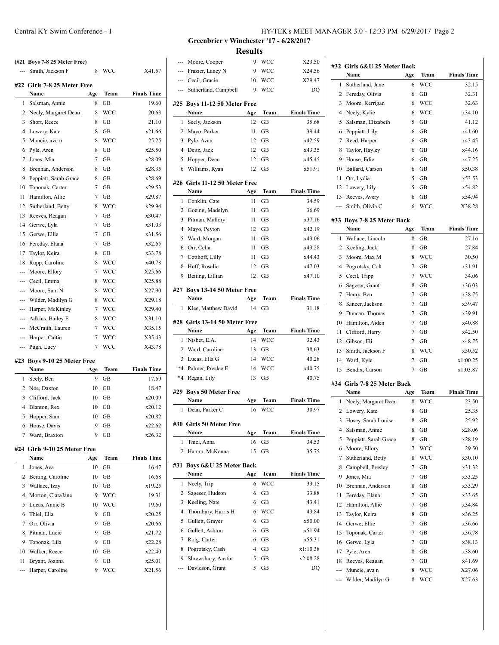| Smith, Jackson F         | 8                                                                                                                                                                                                                                                                                                                            | <b>WCC</b>                                                                                                                                   | X41.57                                                                           |
|--------------------------|------------------------------------------------------------------------------------------------------------------------------------------------------------------------------------------------------------------------------------------------------------------------------------------------------------------------------|----------------------------------------------------------------------------------------------------------------------------------------------|----------------------------------------------------------------------------------|
|                          |                                                                                                                                                                                                                                                                                                                              |                                                                                                                                              |                                                                                  |
|                          |                                                                                                                                                                                                                                                                                                                              |                                                                                                                                              | <b>Finals Time</b>                                                               |
|                          |                                                                                                                                                                                                                                                                                                                              |                                                                                                                                              | 19.60                                                                            |
| 2                        |                                                                                                                                                                                                                                                                                                                              |                                                                                                                                              | 20.63                                                                            |
|                          |                                                                                                                                                                                                                                                                                                                              |                                                                                                                                              | 21.10                                                                            |
|                          |                                                                                                                                                                                                                                                                                                                              |                                                                                                                                              | x21.66                                                                           |
|                          |                                                                                                                                                                                                                                                                                                                              |                                                                                                                                              | 25.25                                                                            |
|                          | 8                                                                                                                                                                                                                                                                                                                            |                                                                                                                                              | x25.50                                                                           |
|                          | $\overline{7}$                                                                                                                                                                                                                                                                                                               |                                                                                                                                              | x28.09                                                                           |
|                          | 8                                                                                                                                                                                                                                                                                                                            |                                                                                                                                              | x28.35                                                                           |
|                          | 8                                                                                                                                                                                                                                                                                                                            | GВ                                                                                                                                           | x28.69                                                                           |
|                          |                                                                                                                                                                                                                                                                                                                              |                                                                                                                                              | x29.53                                                                           |
|                          | 7                                                                                                                                                                                                                                                                                                                            | GВ                                                                                                                                           | x29.87                                                                           |
|                          | 8                                                                                                                                                                                                                                                                                                                            | WCC                                                                                                                                          | x29.94                                                                           |
|                          | $\overline{7}$                                                                                                                                                                                                                                                                                                               | GB                                                                                                                                           | x30.47                                                                           |
| Gerwe, Lyla              | 7                                                                                                                                                                                                                                                                                                                            | GB                                                                                                                                           | x31.03                                                                           |
| Gerwe, Ellie             | $\overline{7}$                                                                                                                                                                                                                                                                                                               | GB                                                                                                                                           | x31.56                                                                           |
| Fereday, Elana           | $\overline{7}$                                                                                                                                                                                                                                                                                                               | GB                                                                                                                                           | x32.65                                                                           |
| Taylor, Keira            | 8                                                                                                                                                                                                                                                                                                                            | GB                                                                                                                                           | x33.78                                                                           |
| Rupp, Caroline           | 8                                                                                                                                                                                                                                                                                                                            | WCC                                                                                                                                          | x40.78                                                                           |
| Moore, Ellory            | 7                                                                                                                                                                                                                                                                                                                            | <b>WCC</b>                                                                                                                                   | X25.66                                                                           |
| --- Cecil, Emma          | 8                                                                                                                                                                                                                                                                                                                            | WCC                                                                                                                                          | X25.88                                                                           |
| --- Moore, Sam N         | 8                                                                                                                                                                                                                                                                                                                            | WCC                                                                                                                                          | X27.90                                                                           |
| Wilder, Madilyn G<br>--- | 8                                                                                                                                                                                                                                                                                                                            | WCC                                                                                                                                          | X29.18                                                                           |
| Harper, McKinley         | 7                                                                                                                                                                                                                                                                                                                            | WCC                                                                                                                                          | X29.40                                                                           |
| Adkins, Bailey E<br>---  | 8                                                                                                                                                                                                                                                                                                                            | WCC                                                                                                                                          | X31.10                                                                           |
| McCraith, Lauren<br>---  | 7                                                                                                                                                                                                                                                                                                                            | WCC                                                                                                                                          | X35.15                                                                           |
| --- Harper, Caitie       | 7                                                                                                                                                                                                                                                                                                                            | WCC                                                                                                                                          | X35.43                                                                           |
| Pugh, Lucy               | 7                                                                                                                                                                                                                                                                                                                            | WCC                                                                                                                                          | X43.78                                                                           |
|                          |                                                                                                                                                                                                                                                                                                                              |                                                                                                                                              |                                                                                  |
|                          |                                                                                                                                                                                                                                                                                                                              |                                                                                                                                              | <b>Finals Time</b>                                                               |
|                          | 9                                                                                                                                                                                                                                                                                                                            |                                                                                                                                              | 17.69                                                                            |
| 2                        |                                                                                                                                                                                                                                                                                                                              |                                                                                                                                              | 18.47                                                                            |
|                          | 10                                                                                                                                                                                                                                                                                                                           | GB                                                                                                                                           | x20.09                                                                           |
| Blanton, Rex             | 10                                                                                                                                                                                                                                                                                                                           | GB                                                                                                                                           | x20.12                                                                           |
|                          | 10                                                                                                                                                                                                                                                                                                                           | GB                                                                                                                                           | x20.82                                                                           |
|                          | Name<br>Salsman, Annie<br>Neely, Margaret Dean<br>Short, Reece<br>Lowery, Kate<br>Muncie, ava n<br>Pyle, Aren<br>Jones, Mia<br>Brennan, Anderson<br>Peppiatt, Sarah Grace<br>Toponak, Carter<br>Hamilton, Allie<br>Sutherland, Betty<br>Reeves, Reagan<br>Name<br>Seely, Ben<br>Noe, Daxton<br>Clifford, Jack<br>Hopper, Sam | (#21 Boys 7-8 25 Meter Free)<br>#22 Girls 7-8 25 Meter Free<br>Age<br>8<br>8<br>8<br>8<br>8<br>7<br>#23 Boys 9-10 25 Meter Free<br>Age<br>10 | Team<br>GB<br>WCC<br>GВ<br>GB<br>WCC<br>GB<br>GB<br>GB<br>GB<br>Team<br>GB<br>GB |

#### **#24 Girls 9-10 25 Meter Free**

|    | Name              | Age | Team       | <b>Finals Time</b> |
|----|-------------------|-----|------------|--------------------|
| 1  | Jones, Ava        | 10  | GB         | 16.47              |
| 2  | Beiting, Caroline | 10  | GB         | 16.68              |
| 3  | Wallace, Izzy     | 10  | GB         | x19.25             |
| 4  | Morton, ClaraJane | 9   | <b>WCC</b> | 19.31              |
| 5. | Lucas, Annie B    | 10  | <b>WCC</b> | 19.60              |
| 6  | Thiel, Ella       | 9   | GB         | x20.25             |
| 7  | Orr, Olivia       | 9   | GB         | x20.66             |
| 8  | Pitman, Lucie     | 9   | GB         | x21.72             |
| 9  | Toponak, Lila     | 9   | GB         | x22.28             |
| 10 | Walker, Reece     | 10  | GB         | x22.40             |
| 11 | Bryant, Joanna    | 9   | GB         | x25.01             |
|    | Harper, Caroline  | 9   | WCC        | X21.56             |

 House, Davis 9 GB x22.62 Ward, Braxton 9 GB x26.32 **Greenbrier v Winchester '17 - 6/28/2017 Results**

| ---            | Moore, Cooper                         | 9        | WCC         | X23.50             |
|----------------|---------------------------------------|----------|-------------|--------------------|
| <u></u>        | Frazier, Laney N                      | 9        | WCC         | X24.56             |
|                | --- Cecil, Gracie                     | 10       | WCC         | X29.47             |
| ---            | Sutherland, Campbell                  | 9        | <b>WCC</b>  | DO                 |
|                |                                       |          |             |                    |
|                | #25 Boys 11-12 50 Meter Free          |          |             |                    |
|                | Name                                  | Age      | <b>Team</b> | <b>Finals Time</b> |
| 1              | Seely, Jackson                        | 12       | GB          | 35.68              |
| 2              | Mayo, Parker                          | 11       | GВ          | 39.44              |
| 3              | Pyle, Avan                            | 12       | GВ          | x42.59             |
| 4              | Deitz, Jack                           | 12       | GВ          | x43.35             |
| 5              | Hopper, Deen                          | 12<br>12 | GВ          | x45.45             |
| 6              | Williams, Ryan                        |          | GВ          | x51.91             |
|                | #26 Girls 11-12 50 Meter Free         |          |             |                    |
|                | Name                                  | Age      | Team        | <b>Finals Time</b> |
| 1              | Conklin, Cate                         | 11       | <b>GB</b>   | 34.59              |
| 2              | Goeing, Madelyn                       | 11       | GВ          | 36.69              |
| 3              | Pitman, Mallory                       | 11       | GВ          | x37.16             |
| 4              | Mayo, Peyton                          | 12       | GB          | x42.19             |
| 5              | Ward, Morgan                          | 11       | GВ          | x43.06             |
| 6              | Orr, Celia                            | 11       | GВ          | x43.28             |
| 7              | Cotthoff, Lilly                       | 11       | GВ          | x44.43             |
| 8              | Huff, Rosalie                         | 12       | GВ          | x47.03             |
| 9              | Beiting, Lillian                      | 12       | GВ          | x47.10             |
|                | #27 Boys 13-14 50 Meter Free          |          |             |                    |
|                | Name                                  | Age      | Team        | <b>Finals Time</b> |
| 1              | Klee, Matthew David                   | 14       | GВ          | 31.18              |
|                |                                       |          |             |                    |
|                |                                       |          |             |                    |
|                | #28 Girls 13-14 50 Meter Free         |          |             |                    |
|                | Name                                  | Age      | Team        | <b>Finals Time</b> |
| 1              | Nisbet, E.A.                          | 14       | <b>WCC</b>  | 32.43              |
| $\overline{2}$ | Ward, Caroline                        | 13       | GВ          | 38.63              |
| 3              | Lucas, Ella G                         | 14       | WCC         | 40.28              |
| $*4$           | Palmer, Preslee E                     | 14       | <b>WCC</b>  | x40.75             |
| $*4$           | Regan, Lily                           | 13       | GB          | 40.75              |
|                | #29 Boys 50 Meter Free                |          |             |                    |
|                | Name                                  | Age      | Team        | <b>Finals Time</b> |
| 1              | Dean, Parker C                        | 16       | <b>WCC</b>  | 30.97              |
|                |                                       |          |             |                    |
|                | #30 Girls 50 Meter Free               |          |             |                    |
| 1              | Name                                  | Age      | Team        | <b>Finals Time</b> |
| 2              | Thiel, Anna                           | 16<br>15 | GВ<br>GВ    | 34.53              |
|                | Hamm, McKenna                         |          |             | 35.75              |
| #31            | Boys 6&U 25 Meter Back                |          |             |                    |
|                | Name                                  | Age      | Team        | <b>Finals Time</b> |
| 1              | Neely, Trip                           | 6        | WCC         | 33.15              |
| 2              | Sageser, Hudson                       | 6        | GB          | 33.88              |
| 3              | Keeling, Nate                         | 6        | GВ          | 43.41              |
| 4              | Thornbury, Harris H                   | 6        | WCC         | 43.84              |
| 5              | Gullett, Graver                       | 6        | GB          | x50.00             |
| 6              | Gullett, Ashton                       | 6        | GВ          | x51.94             |
| 7              | Roig, Carter                          | 6        | GВ          | x55.31             |
| 8              | Pogrotsky, Cash                       | 4        | GВ          | x1:10.38           |
| 9              | Shrewsbury, Austin<br>Davidson, Grant | 5<br>5   | GВ<br>GВ    | x2:08.28<br>DQ     |

| Team<br>Name<br>Age<br>1<br>Sutherland, Jane<br>6<br>WCC<br>2<br>Fereday, Olivia<br>6<br>GВ<br>3<br>Moore, Kerrigan<br><b>WCC</b><br>6<br>4<br>Neely, Kylie<br>6<br><b>WCC</b><br>5<br>Salsman, Elizabeth<br>5<br>GВ<br>6<br>GB<br>6<br>Peppiatt, Lily<br>7<br>Reed, Harper<br>6<br>GВ<br>GB<br>8<br>Taylor, Hayley<br>6<br>9<br>House, Edie<br>GB<br>6<br>10<br>Ballard, Carson<br>6<br>GВ<br>5<br>11<br>Orr, Lydia<br>GB<br>12<br>5<br>GB<br>Lowery, Lily<br>13<br>Reeves, Avery<br>6<br>GВ<br>WCC<br>Smith, Olivia C<br>6<br>---<br>#33 Boys 7-8 25 Meter Back<br><b>Finals Time</b><br>Name<br>Age<br>Team<br>1<br>Wallace, Lincoln<br>8<br>GВ<br>27.16<br>2<br>Keeling, Jack<br>8<br><b>GB</b><br>27.84<br>3<br>Moore, Max M<br>8<br><b>WCC</b><br>30.50<br>4<br>Pogrotsky, Colt<br>7<br>GВ<br>x31.91<br>7<br><b>WCC</b><br>5<br>Cecil, Tripp<br>34.06<br>8<br>GB<br>6<br>Sageser, Grant<br>x36.03<br>7<br>Henry, Ben<br>7<br>GB<br>x38.75<br>8<br>Kincer, Jackson<br>7<br>GВ<br>x39.47<br>9<br>x39.91<br>Duncan, Thomas<br>7<br>GВ<br>Hamilton, Aiden<br>7<br>10<br>GВ<br>x40.88<br>7<br>x42.50<br>11<br>Clifford, Harry<br>GВ<br>12<br>Gibson, Eli<br>7<br>x48.75<br>GВ<br>13<br>Smith, Jackson F<br>8<br>WCC<br>x50.52<br>14<br>Ward, Kyle<br>7<br>GВ<br>x1:00.25<br>Bendix, Carson<br>7<br>15<br>GВ<br>x1:03.87<br>#34 Girls 7-8 25 Meter Back<br><b>Finals Time</b><br>Age<br>Team<br>Name<br>1<br>Neely, Margaret Dean<br>WCC<br>8<br>25.35<br>2<br>Lowery, Kate<br>8<br>GВ<br>3<br>8<br>25.92<br>Hosey, Sarah Louise<br>GВ<br>4<br>Salsman, Annie<br>GВ<br>8<br>x28.06<br>5<br>Peppiatt, Sarah Grace<br>8<br>GB<br>x28.19<br>Moore, Ellory<br>6<br>7<br>WCC<br>29.50<br>Sutherland, Betty<br>7<br>8<br>WCC<br>x30.10<br>8<br>Campbell, Presley<br>7<br>GB<br>x31.32<br>Jones, Mia<br>GB<br>9<br>7<br>x33.25<br>Brennan, Anderson<br>GB<br>10<br>8<br>x33.29<br>Fereday, Elana<br>7<br>GB<br>x33.65<br>11<br>Hamilton, Allie<br>7<br>12<br>GВ<br>x34.84<br>Taylor, Keira<br>13<br>8<br>GВ<br>14<br>Gerwe, Ellie<br>7<br>GB<br>x36.66<br>Toponak, Carter<br>7<br>15<br>GВ | #32 Girls 6&U 25 Meter Back |  |                    |
|-------------------------------------------------------------------------------------------------------------------------------------------------------------------------------------------------------------------------------------------------------------------------------------------------------------------------------------------------------------------------------------------------------------------------------------------------------------------------------------------------------------------------------------------------------------------------------------------------------------------------------------------------------------------------------------------------------------------------------------------------------------------------------------------------------------------------------------------------------------------------------------------------------------------------------------------------------------------------------------------------------------------------------------------------------------------------------------------------------------------------------------------------------------------------------------------------------------------------------------------------------------------------------------------------------------------------------------------------------------------------------------------------------------------------------------------------------------------------------------------------------------------------------------------------------------------------------------------------------------------------------------------------------------------------------------------------------------------------------------------------------------------------------------------------------------------------------------------------------------------------------------------------------------------------------------------------------------------------------------------------------------------------------------------------------------------------------------|-----------------------------|--|--------------------|
|                                                                                                                                                                                                                                                                                                                                                                                                                                                                                                                                                                                                                                                                                                                                                                                                                                                                                                                                                                                                                                                                                                                                                                                                                                                                                                                                                                                                                                                                                                                                                                                                                                                                                                                                                                                                                                                                                                                                                                                                                                                                                     |                             |  | <b>Finals Time</b> |
|                                                                                                                                                                                                                                                                                                                                                                                                                                                                                                                                                                                                                                                                                                                                                                                                                                                                                                                                                                                                                                                                                                                                                                                                                                                                                                                                                                                                                                                                                                                                                                                                                                                                                                                                                                                                                                                                                                                                                                                                                                                                                     |                             |  | 32.15              |
|                                                                                                                                                                                                                                                                                                                                                                                                                                                                                                                                                                                                                                                                                                                                                                                                                                                                                                                                                                                                                                                                                                                                                                                                                                                                                                                                                                                                                                                                                                                                                                                                                                                                                                                                                                                                                                                                                                                                                                                                                                                                                     |                             |  | 32.31              |
|                                                                                                                                                                                                                                                                                                                                                                                                                                                                                                                                                                                                                                                                                                                                                                                                                                                                                                                                                                                                                                                                                                                                                                                                                                                                                                                                                                                                                                                                                                                                                                                                                                                                                                                                                                                                                                                                                                                                                                                                                                                                                     |                             |  | 32.63              |
|                                                                                                                                                                                                                                                                                                                                                                                                                                                                                                                                                                                                                                                                                                                                                                                                                                                                                                                                                                                                                                                                                                                                                                                                                                                                                                                                                                                                                                                                                                                                                                                                                                                                                                                                                                                                                                                                                                                                                                                                                                                                                     |                             |  | x34.10             |
|                                                                                                                                                                                                                                                                                                                                                                                                                                                                                                                                                                                                                                                                                                                                                                                                                                                                                                                                                                                                                                                                                                                                                                                                                                                                                                                                                                                                                                                                                                                                                                                                                                                                                                                                                                                                                                                                                                                                                                                                                                                                                     |                             |  | 41.12              |
|                                                                                                                                                                                                                                                                                                                                                                                                                                                                                                                                                                                                                                                                                                                                                                                                                                                                                                                                                                                                                                                                                                                                                                                                                                                                                                                                                                                                                                                                                                                                                                                                                                                                                                                                                                                                                                                                                                                                                                                                                                                                                     |                             |  | x41.60             |
|                                                                                                                                                                                                                                                                                                                                                                                                                                                                                                                                                                                                                                                                                                                                                                                                                                                                                                                                                                                                                                                                                                                                                                                                                                                                                                                                                                                                                                                                                                                                                                                                                                                                                                                                                                                                                                                                                                                                                                                                                                                                                     |                             |  | x43.45             |
|                                                                                                                                                                                                                                                                                                                                                                                                                                                                                                                                                                                                                                                                                                                                                                                                                                                                                                                                                                                                                                                                                                                                                                                                                                                                                                                                                                                                                                                                                                                                                                                                                                                                                                                                                                                                                                                                                                                                                                                                                                                                                     |                             |  | x44.16             |
|                                                                                                                                                                                                                                                                                                                                                                                                                                                                                                                                                                                                                                                                                                                                                                                                                                                                                                                                                                                                                                                                                                                                                                                                                                                                                                                                                                                                                                                                                                                                                                                                                                                                                                                                                                                                                                                                                                                                                                                                                                                                                     |                             |  | x47.25             |
|                                                                                                                                                                                                                                                                                                                                                                                                                                                                                                                                                                                                                                                                                                                                                                                                                                                                                                                                                                                                                                                                                                                                                                                                                                                                                                                                                                                                                                                                                                                                                                                                                                                                                                                                                                                                                                                                                                                                                                                                                                                                                     |                             |  | x50.38             |
|                                                                                                                                                                                                                                                                                                                                                                                                                                                                                                                                                                                                                                                                                                                                                                                                                                                                                                                                                                                                                                                                                                                                                                                                                                                                                                                                                                                                                                                                                                                                                                                                                                                                                                                                                                                                                                                                                                                                                                                                                                                                                     |                             |  | x53.53             |
|                                                                                                                                                                                                                                                                                                                                                                                                                                                                                                                                                                                                                                                                                                                                                                                                                                                                                                                                                                                                                                                                                                                                                                                                                                                                                                                                                                                                                                                                                                                                                                                                                                                                                                                                                                                                                                                                                                                                                                                                                                                                                     |                             |  | x54.82             |
|                                                                                                                                                                                                                                                                                                                                                                                                                                                                                                                                                                                                                                                                                                                                                                                                                                                                                                                                                                                                                                                                                                                                                                                                                                                                                                                                                                                                                                                                                                                                                                                                                                                                                                                                                                                                                                                                                                                                                                                                                                                                                     |                             |  | x54.94             |
|                                                                                                                                                                                                                                                                                                                                                                                                                                                                                                                                                                                                                                                                                                                                                                                                                                                                                                                                                                                                                                                                                                                                                                                                                                                                                                                                                                                                                                                                                                                                                                                                                                                                                                                                                                                                                                                                                                                                                                                                                                                                                     |                             |  | X38.28             |
|                                                                                                                                                                                                                                                                                                                                                                                                                                                                                                                                                                                                                                                                                                                                                                                                                                                                                                                                                                                                                                                                                                                                                                                                                                                                                                                                                                                                                                                                                                                                                                                                                                                                                                                                                                                                                                                                                                                                                                                                                                                                                     |                             |  |                    |
|                                                                                                                                                                                                                                                                                                                                                                                                                                                                                                                                                                                                                                                                                                                                                                                                                                                                                                                                                                                                                                                                                                                                                                                                                                                                                                                                                                                                                                                                                                                                                                                                                                                                                                                                                                                                                                                                                                                                                                                                                                                                                     |                             |  |                    |
|                                                                                                                                                                                                                                                                                                                                                                                                                                                                                                                                                                                                                                                                                                                                                                                                                                                                                                                                                                                                                                                                                                                                                                                                                                                                                                                                                                                                                                                                                                                                                                                                                                                                                                                                                                                                                                                                                                                                                                                                                                                                                     |                             |  |                    |
|                                                                                                                                                                                                                                                                                                                                                                                                                                                                                                                                                                                                                                                                                                                                                                                                                                                                                                                                                                                                                                                                                                                                                                                                                                                                                                                                                                                                                                                                                                                                                                                                                                                                                                                                                                                                                                                                                                                                                                                                                                                                                     |                             |  |                    |
|                                                                                                                                                                                                                                                                                                                                                                                                                                                                                                                                                                                                                                                                                                                                                                                                                                                                                                                                                                                                                                                                                                                                                                                                                                                                                                                                                                                                                                                                                                                                                                                                                                                                                                                                                                                                                                                                                                                                                                                                                                                                                     |                             |  |                    |
|                                                                                                                                                                                                                                                                                                                                                                                                                                                                                                                                                                                                                                                                                                                                                                                                                                                                                                                                                                                                                                                                                                                                                                                                                                                                                                                                                                                                                                                                                                                                                                                                                                                                                                                                                                                                                                                                                                                                                                                                                                                                                     |                             |  |                    |
|                                                                                                                                                                                                                                                                                                                                                                                                                                                                                                                                                                                                                                                                                                                                                                                                                                                                                                                                                                                                                                                                                                                                                                                                                                                                                                                                                                                                                                                                                                                                                                                                                                                                                                                                                                                                                                                                                                                                                                                                                                                                                     |                             |  |                    |
|                                                                                                                                                                                                                                                                                                                                                                                                                                                                                                                                                                                                                                                                                                                                                                                                                                                                                                                                                                                                                                                                                                                                                                                                                                                                                                                                                                                                                                                                                                                                                                                                                                                                                                                                                                                                                                                                                                                                                                                                                                                                                     |                             |  |                    |
|                                                                                                                                                                                                                                                                                                                                                                                                                                                                                                                                                                                                                                                                                                                                                                                                                                                                                                                                                                                                                                                                                                                                                                                                                                                                                                                                                                                                                                                                                                                                                                                                                                                                                                                                                                                                                                                                                                                                                                                                                                                                                     |                             |  |                    |
|                                                                                                                                                                                                                                                                                                                                                                                                                                                                                                                                                                                                                                                                                                                                                                                                                                                                                                                                                                                                                                                                                                                                                                                                                                                                                                                                                                                                                                                                                                                                                                                                                                                                                                                                                                                                                                                                                                                                                                                                                                                                                     |                             |  |                    |
|                                                                                                                                                                                                                                                                                                                                                                                                                                                                                                                                                                                                                                                                                                                                                                                                                                                                                                                                                                                                                                                                                                                                                                                                                                                                                                                                                                                                                                                                                                                                                                                                                                                                                                                                                                                                                                                                                                                                                                                                                                                                                     |                             |  |                    |
|                                                                                                                                                                                                                                                                                                                                                                                                                                                                                                                                                                                                                                                                                                                                                                                                                                                                                                                                                                                                                                                                                                                                                                                                                                                                                                                                                                                                                                                                                                                                                                                                                                                                                                                                                                                                                                                                                                                                                                                                                                                                                     |                             |  |                    |
|                                                                                                                                                                                                                                                                                                                                                                                                                                                                                                                                                                                                                                                                                                                                                                                                                                                                                                                                                                                                                                                                                                                                                                                                                                                                                                                                                                                                                                                                                                                                                                                                                                                                                                                                                                                                                                                                                                                                                                                                                                                                                     |                             |  |                    |
|                                                                                                                                                                                                                                                                                                                                                                                                                                                                                                                                                                                                                                                                                                                                                                                                                                                                                                                                                                                                                                                                                                                                                                                                                                                                                                                                                                                                                                                                                                                                                                                                                                                                                                                                                                                                                                                                                                                                                                                                                                                                                     |                             |  |                    |
|                                                                                                                                                                                                                                                                                                                                                                                                                                                                                                                                                                                                                                                                                                                                                                                                                                                                                                                                                                                                                                                                                                                                                                                                                                                                                                                                                                                                                                                                                                                                                                                                                                                                                                                                                                                                                                                                                                                                                                                                                                                                                     |                             |  |                    |
|                                                                                                                                                                                                                                                                                                                                                                                                                                                                                                                                                                                                                                                                                                                                                                                                                                                                                                                                                                                                                                                                                                                                                                                                                                                                                                                                                                                                                                                                                                                                                                                                                                                                                                                                                                                                                                                                                                                                                                                                                                                                                     |                             |  |                    |
|                                                                                                                                                                                                                                                                                                                                                                                                                                                                                                                                                                                                                                                                                                                                                                                                                                                                                                                                                                                                                                                                                                                                                                                                                                                                                                                                                                                                                                                                                                                                                                                                                                                                                                                                                                                                                                                                                                                                                                                                                                                                                     |                             |  |                    |
|                                                                                                                                                                                                                                                                                                                                                                                                                                                                                                                                                                                                                                                                                                                                                                                                                                                                                                                                                                                                                                                                                                                                                                                                                                                                                                                                                                                                                                                                                                                                                                                                                                                                                                                                                                                                                                                                                                                                                                                                                                                                                     |                             |  |                    |
|                                                                                                                                                                                                                                                                                                                                                                                                                                                                                                                                                                                                                                                                                                                                                                                                                                                                                                                                                                                                                                                                                                                                                                                                                                                                                                                                                                                                                                                                                                                                                                                                                                                                                                                                                                                                                                                                                                                                                                                                                                                                                     |                             |  |                    |
|                                                                                                                                                                                                                                                                                                                                                                                                                                                                                                                                                                                                                                                                                                                                                                                                                                                                                                                                                                                                                                                                                                                                                                                                                                                                                                                                                                                                                                                                                                                                                                                                                                                                                                                                                                                                                                                                                                                                                                                                                                                                                     |                             |  |                    |
|                                                                                                                                                                                                                                                                                                                                                                                                                                                                                                                                                                                                                                                                                                                                                                                                                                                                                                                                                                                                                                                                                                                                                                                                                                                                                                                                                                                                                                                                                                                                                                                                                                                                                                                                                                                                                                                                                                                                                                                                                                                                                     |                             |  | 23.50              |
|                                                                                                                                                                                                                                                                                                                                                                                                                                                                                                                                                                                                                                                                                                                                                                                                                                                                                                                                                                                                                                                                                                                                                                                                                                                                                                                                                                                                                                                                                                                                                                                                                                                                                                                                                                                                                                                                                                                                                                                                                                                                                     |                             |  |                    |
|                                                                                                                                                                                                                                                                                                                                                                                                                                                                                                                                                                                                                                                                                                                                                                                                                                                                                                                                                                                                                                                                                                                                                                                                                                                                                                                                                                                                                                                                                                                                                                                                                                                                                                                                                                                                                                                                                                                                                                                                                                                                                     |                             |  |                    |
|                                                                                                                                                                                                                                                                                                                                                                                                                                                                                                                                                                                                                                                                                                                                                                                                                                                                                                                                                                                                                                                                                                                                                                                                                                                                                                                                                                                                                                                                                                                                                                                                                                                                                                                                                                                                                                                                                                                                                                                                                                                                                     |                             |  |                    |
|                                                                                                                                                                                                                                                                                                                                                                                                                                                                                                                                                                                                                                                                                                                                                                                                                                                                                                                                                                                                                                                                                                                                                                                                                                                                                                                                                                                                                                                                                                                                                                                                                                                                                                                                                                                                                                                                                                                                                                                                                                                                                     |                             |  |                    |
|                                                                                                                                                                                                                                                                                                                                                                                                                                                                                                                                                                                                                                                                                                                                                                                                                                                                                                                                                                                                                                                                                                                                                                                                                                                                                                                                                                                                                                                                                                                                                                                                                                                                                                                                                                                                                                                                                                                                                                                                                                                                                     |                             |  |                    |
|                                                                                                                                                                                                                                                                                                                                                                                                                                                                                                                                                                                                                                                                                                                                                                                                                                                                                                                                                                                                                                                                                                                                                                                                                                                                                                                                                                                                                                                                                                                                                                                                                                                                                                                                                                                                                                                                                                                                                                                                                                                                                     |                             |  |                    |
|                                                                                                                                                                                                                                                                                                                                                                                                                                                                                                                                                                                                                                                                                                                                                                                                                                                                                                                                                                                                                                                                                                                                                                                                                                                                                                                                                                                                                                                                                                                                                                                                                                                                                                                                                                                                                                                                                                                                                                                                                                                                                     |                             |  |                    |
|                                                                                                                                                                                                                                                                                                                                                                                                                                                                                                                                                                                                                                                                                                                                                                                                                                                                                                                                                                                                                                                                                                                                                                                                                                                                                                                                                                                                                                                                                                                                                                                                                                                                                                                                                                                                                                                                                                                                                                                                                                                                                     |                             |  |                    |
|                                                                                                                                                                                                                                                                                                                                                                                                                                                                                                                                                                                                                                                                                                                                                                                                                                                                                                                                                                                                                                                                                                                                                                                                                                                                                                                                                                                                                                                                                                                                                                                                                                                                                                                                                                                                                                                                                                                                                                                                                                                                                     |                             |  |                    |
|                                                                                                                                                                                                                                                                                                                                                                                                                                                                                                                                                                                                                                                                                                                                                                                                                                                                                                                                                                                                                                                                                                                                                                                                                                                                                                                                                                                                                                                                                                                                                                                                                                                                                                                                                                                                                                                                                                                                                                                                                                                                                     |                             |  |                    |
|                                                                                                                                                                                                                                                                                                                                                                                                                                                                                                                                                                                                                                                                                                                                                                                                                                                                                                                                                                                                                                                                                                                                                                                                                                                                                                                                                                                                                                                                                                                                                                                                                                                                                                                                                                                                                                                                                                                                                                                                                                                                                     |                             |  |                    |
|                                                                                                                                                                                                                                                                                                                                                                                                                                                                                                                                                                                                                                                                                                                                                                                                                                                                                                                                                                                                                                                                                                                                                                                                                                                                                                                                                                                                                                                                                                                                                                                                                                                                                                                                                                                                                                                                                                                                                                                                                                                                                     |                             |  | x36.25             |
|                                                                                                                                                                                                                                                                                                                                                                                                                                                                                                                                                                                                                                                                                                                                                                                                                                                                                                                                                                                                                                                                                                                                                                                                                                                                                                                                                                                                                                                                                                                                                                                                                                                                                                                                                                                                                                                                                                                                                                                                                                                                                     |                             |  |                    |
|                                                                                                                                                                                                                                                                                                                                                                                                                                                                                                                                                                                                                                                                                                                                                                                                                                                                                                                                                                                                                                                                                                                                                                                                                                                                                                                                                                                                                                                                                                                                                                                                                                                                                                                                                                                                                                                                                                                                                                                                                                                                                     |                             |  | x36.78             |
| Gerwe, Lyla<br>7<br>16<br>GВ                                                                                                                                                                                                                                                                                                                                                                                                                                                                                                                                                                                                                                                                                                                                                                                                                                                                                                                                                                                                                                                                                                                                                                                                                                                                                                                                                                                                                                                                                                                                                                                                                                                                                                                                                                                                                                                                                                                                                                                                                                                        |                             |  | x38.13             |
| 17<br>Pyle, Aren<br>8<br>GВ                                                                                                                                                                                                                                                                                                                                                                                                                                                                                                                                                                                                                                                                                                                                                                                                                                                                                                                                                                                                                                                                                                                                                                                                                                                                                                                                                                                                                                                                                                                                                                                                                                                                                                                                                                                                                                                                                                                                                                                                                                                         |                             |  | x38.60             |
| Reeves, Reagan<br>7<br>18<br>GВ                                                                                                                                                                                                                                                                                                                                                                                                                                                                                                                                                                                                                                                                                                                                                                                                                                                                                                                                                                                                                                                                                                                                                                                                                                                                                                                                                                                                                                                                                                                                                                                                                                                                                                                                                                                                                                                                                                                                                                                                                                                     |                             |  | x41.69             |
| Muncie, ava n<br>8<br>WCC<br>---                                                                                                                                                                                                                                                                                                                                                                                                                                                                                                                                                                                                                                                                                                                                                                                                                                                                                                                                                                                                                                                                                                                                                                                                                                                                                                                                                                                                                                                                                                                                                                                                                                                                                                                                                                                                                                                                                                                                                                                                                                                    |                             |  | X27.06             |
| Wilder, Madilyn G<br>8<br>WCC<br>---                                                                                                                                                                                                                                                                                                                                                                                                                                                                                                                                                                                                                                                                                                                                                                                                                                                                                                                                                                                                                                                                                                                                                                                                                                                                                                                                                                                                                                                                                                                                                                                                                                                                                                                                                                                                                                                                                                                                                                                                                                                |                             |  | X27.63             |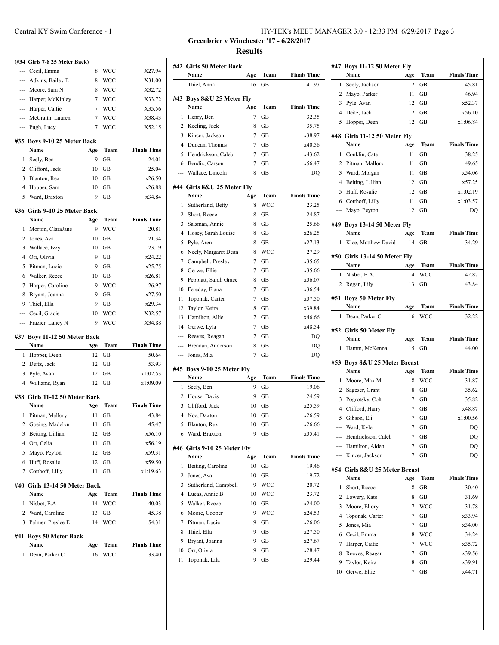|                | (#34 Girls 7-8 25 Meter Back) |                |             |                    |
|----------------|-------------------------------|----------------|-------------|--------------------|
|                | --- Cecil, Emma               | 8              | WCC         | X27.94             |
|                | --- Adkins, Bailey E          | 8              | WCC         | X31.00             |
|                | --- Moore, Sam N              | 8              | <b>WCC</b>  | X32.72             |
| $\overline{a}$ | Harper, McKinley              | 7              | <b>WCC</b>  | X33.72             |
|                | --- Harper, Caitie            | 7              | <b>WCC</b>  | X35.56             |
|                | --- McCraith, Lauren          | $\overline{7}$ | WCC         | X38.43             |
| ---            | Pugh, Lucy                    | $\overline{7}$ | WCC         | X52.15             |
|                | #35 Boys 9-10 25 Meter Back   |                |             |                    |
|                | Name                          | Age            | <b>Team</b> | <b>Finals Time</b> |
| 1              | Seely, Ben                    | 9              | <b>GB</b>   | 24.01              |
| 2              | Clifford, Jack                | 10             | <b>GB</b>   | 25.04              |
| 3              | Blanton, Rex                  | 10             | <b>GB</b>   | x26.50             |
| 4              | Hopper, Sam                   | 10             | GВ          | x26.88             |
| 5              | Ward, Braxton                 | 9              | GB          | x34.84             |
|                |                               |                |             |                    |
|                | #36 Girls 9-10 25 Meter Back  |                |             | <b>Finals Time</b> |
| 1              | Name                          | Age<br>9       | Team<br>WCC |                    |
| 2              | Morton, ClaraJane             | 10             | GB          | 20.81<br>21.34     |
| 3              | Jones, Ava                    | 10             | <b>GB</b>   |                    |
|                | Wallace, Izzy                 |                |             | 23.19              |
| 4              | Orr, Olivia                   | 9              | <b>GB</b>   | x24.22             |
| 5              | Pitman, Lucie                 | 9              | GB          | x25.75             |
| 6              | Walker, Reece                 | 10             | GB          | x26.81             |
| $\overline{7}$ | Harper, Caroline              | 9              | WCC         | 26.97              |
| 8              | Bryant, Joanna                | 9              | GB          | x27.50             |
| 9              | Thiel, Ella                   | 9              | GB          | x29.34             |
| ---            | Cecil, Gracie                 | 10             | WCC         | X32.57             |
| ---            | Frazier, Laney N              | 9              | WCC         | X34.88             |
|                | #37 Boys 11-12 50 Meter Back  |                |             |                    |
|                | Name                          | Age            | <b>Team</b> | <b>Finals Time</b> |
| 1              | Hopper, Deen                  | 12             | GB          | 50.64              |
| 2              | Deitz, Jack                   | 12             | GВ          | 53.93              |
| 3              | Pyle, Avan                    | 12             | GB          | x1:02.53           |
| 4              | Williams, Ryan                | 12             | <b>GB</b>   | x1:09.09           |
|                | #38 Girls 11-12 50 Meter Back |                |             |                    |
|                | Name                          | Age            | <b>Team</b> | <b>Finals Time</b> |
| 1              | Pitman, Mallory               | 11             | GB          | 43.84              |
| 2              | Goeing, Madelyn               | 11             | GВ          | 45.47              |
| 3              | Beiting, Lillian              | 12             | <b>GB</b>   | x56.10             |
| $\overline{4}$ | Orr, Celia                    | 11             | GB          | x56.19             |
| 5              | Mayo, Peyton                  | 12             | <b>GB</b>   | x59.31             |

#### **#40 Girls 13-14 50 Meter Back**

| Name                           | Age         | Team       | <b>Finals Time</b> |
|--------------------------------|-------------|------------|--------------------|
| 1 Nisbet, E.A.                 | 14          | <b>WCC</b> | 40.03              |
| 2 Ward, Caroline               | 13          | GB         | 45.38              |
| 3 Palmer, Preslee E            |             | 14 WCC     | 54.31              |
| #41 Boys 50 Meter Back<br>Namo | $\Delta$ as | Toom       | Einale Time        |

 Huff, Rosalie 12 GB x59.50 Cotthoff, Lilly 11 GB x1:19.63

| <b>Name</b>      | Age Team | <b>Finals Time</b> |
|------------------|----------|--------------------|
| 1 Dean, Parker C | 16 WCC   | 33.40              |

## **Greenbrier v Winchester '17 - 6/28/2017 Results**

| #42 Girls 50 Meter Back<br>Team<br><b>Finals Time</b><br>Name<br>Age<br>1<br>Thiel, Anna<br>16<br>GB<br>41.97<br>#43 Boys 8&U 25 Meter Fly<br>Name<br>Team<br><b>Finals Time</b><br>Age<br>7<br>GB<br>32.35<br>1<br>Henry, Ben<br>2<br>8<br>35.75<br>Keeling, Jack<br>GВ<br>3<br>Kincer, Jackson<br>7<br>x38.97<br>GВ<br>4<br>Duncan. Thomas<br>x40.56<br>7<br>GВ<br>5<br>Hendrickson, Caleb<br>7<br>x43.62<br><b>GB</b><br>Bendix, Carson<br>x56.47<br>6<br>7<br>GВ<br>Wallace, Lincoln<br>GB<br>8<br>DQ<br>---<br>#44 Girls 8&U 25 Meter Fly<br>Name<br><b>Finals Time</b><br>Age<br>Team<br>Sutherland, Betty<br><b>WCC</b><br>23.25<br>1<br>8<br>2<br>Short, Reece<br>8<br>GВ<br>24.87<br>3<br>Salsman, Annie<br>8<br>25.66<br><b>GB</b><br>4<br>Hosey, Sarah Louise<br>x26.25<br>8<br>GВ<br>Pyle, Aren<br>5<br>8<br><b>GB</b><br>x27.13<br>Neely, Margaret Dean<br>27.29<br>6<br>8<br>WCC<br>Campbell, Presley<br>x35.65<br>7<br>7<br>GВ<br>Gerwe, Ellie<br>$\boldsymbol{7}$<br>GB<br>x35.66<br>8<br>Peppiatt, Sarah Grace<br>9<br>8<br>GВ<br>x36.07<br>Fereday, Elana<br>x36.54<br>10<br>7<br>GВ<br>Toponak, Carter<br>11<br>7<br>GВ<br>x37.50<br>8<br>x39.84<br>12<br>Taylor, Keira<br>GВ<br>Hamilton, Allie<br>7<br>x46.66<br>13<br>GВ<br>7<br>x48.54<br>14<br>Gerwe, Lyla<br>GВ<br>7<br>Reeves, Reagan<br>GВ<br>DQ<br>---<br>Brennan, Anderson<br>8<br>GВ<br>DQ<br>7<br>Jones, Mia<br>GВ<br>DQ<br>---<br>#45 Boys 9-10 25 Meter Fly<br>Name<br><b>Finals Time</b><br>Age<br>Team<br>9<br>1<br>Seely, Ben<br>GВ<br>19.06<br>2<br>House, Davis<br>9<br>GB<br>24.59<br>3<br>Clifford, Jack<br>x25.59<br>10<br>GВ<br>4<br>Noe, Daxton<br>x26.59<br>10<br>GВ<br>5<br>Blanton, Rex<br>10<br>GВ<br>x26.66<br>Ward, Braxton<br>9<br>x35.41<br>6<br>GВ<br>#46 Girls 9-10 25 Meter Fly<br>Name<br>Team<br><b>Finals Time</b><br>Age<br>Beiting, Caroline<br>1<br>10<br>GВ<br>19.46<br>2<br>Jones, Ava<br>10<br>GВ<br>19.72<br>3<br>Sutherland, Campbell<br>9<br>WCC<br>20.72<br>4<br>Lucas, Annie B<br>10<br>WCC<br>23.72<br>5<br>Walker, Reece<br>10<br>GB<br>x24.00<br>Moore, Cooper<br>9<br>WCC<br>6<br>x24.53<br>7<br>Pitman, Lucie<br>9<br>GB<br>x26.06<br>8<br>Thiel, Ella<br>9<br>x27.50<br>GВ<br>9<br>GB<br>9<br>Bryant, Joanna<br>x27.67<br>Orr, Olivia<br>9<br>x28.47<br>10<br>GВ<br>9<br>x29.44<br>11<br>Toponak, Lila<br>GВ |  |  |  |
|----------------------------------------------------------------------------------------------------------------------------------------------------------------------------------------------------------------------------------------------------------------------------------------------------------------------------------------------------------------------------------------------------------------------------------------------------------------------------------------------------------------------------------------------------------------------------------------------------------------------------------------------------------------------------------------------------------------------------------------------------------------------------------------------------------------------------------------------------------------------------------------------------------------------------------------------------------------------------------------------------------------------------------------------------------------------------------------------------------------------------------------------------------------------------------------------------------------------------------------------------------------------------------------------------------------------------------------------------------------------------------------------------------------------------------------------------------------------------------------------------------------------------------------------------------------------------------------------------------------------------------------------------------------------------------------------------------------------------------------------------------------------------------------------------------------------------------------------------------------------------------------------------------------------------------------------------------------------------------------------------------------------------------------------------------------------------------------------------------------------------------------------------------------------------------------------------------------------------------------------------------------------------------------------------------------------------------------|--|--|--|
|                                                                                                                                                                                                                                                                                                                                                                                                                                                                                                                                                                                                                                                                                                                                                                                                                                                                                                                                                                                                                                                                                                                                                                                                                                                                                                                                                                                                                                                                                                                                                                                                                                                                                                                                                                                                                                                                                                                                                                                                                                                                                                                                                                                                                                                                                                                                        |  |  |  |
|                                                                                                                                                                                                                                                                                                                                                                                                                                                                                                                                                                                                                                                                                                                                                                                                                                                                                                                                                                                                                                                                                                                                                                                                                                                                                                                                                                                                                                                                                                                                                                                                                                                                                                                                                                                                                                                                                                                                                                                                                                                                                                                                                                                                                                                                                                                                        |  |  |  |
|                                                                                                                                                                                                                                                                                                                                                                                                                                                                                                                                                                                                                                                                                                                                                                                                                                                                                                                                                                                                                                                                                                                                                                                                                                                                                                                                                                                                                                                                                                                                                                                                                                                                                                                                                                                                                                                                                                                                                                                                                                                                                                                                                                                                                                                                                                                                        |  |  |  |
|                                                                                                                                                                                                                                                                                                                                                                                                                                                                                                                                                                                                                                                                                                                                                                                                                                                                                                                                                                                                                                                                                                                                                                                                                                                                                                                                                                                                                                                                                                                                                                                                                                                                                                                                                                                                                                                                                                                                                                                                                                                                                                                                                                                                                                                                                                                                        |  |  |  |
|                                                                                                                                                                                                                                                                                                                                                                                                                                                                                                                                                                                                                                                                                                                                                                                                                                                                                                                                                                                                                                                                                                                                                                                                                                                                                                                                                                                                                                                                                                                                                                                                                                                                                                                                                                                                                                                                                                                                                                                                                                                                                                                                                                                                                                                                                                                                        |  |  |  |
|                                                                                                                                                                                                                                                                                                                                                                                                                                                                                                                                                                                                                                                                                                                                                                                                                                                                                                                                                                                                                                                                                                                                                                                                                                                                                                                                                                                                                                                                                                                                                                                                                                                                                                                                                                                                                                                                                                                                                                                                                                                                                                                                                                                                                                                                                                                                        |  |  |  |
|                                                                                                                                                                                                                                                                                                                                                                                                                                                                                                                                                                                                                                                                                                                                                                                                                                                                                                                                                                                                                                                                                                                                                                                                                                                                                                                                                                                                                                                                                                                                                                                                                                                                                                                                                                                                                                                                                                                                                                                                                                                                                                                                                                                                                                                                                                                                        |  |  |  |
|                                                                                                                                                                                                                                                                                                                                                                                                                                                                                                                                                                                                                                                                                                                                                                                                                                                                                                                                                                                                                                                                                                                                                                                                                                                                                                                                                                                                                                                                                                                                                                                                                                                                                                                                                                                                                                                                                                                                                                                                                                                                                                                                                                                                                                                                                                                                        |  |  |  |
|                                                                                                                                                                                                                                                                                                                                                                                                                                                                                                                                                                                                                                                                                                                                                                                                                                                                                                                                                                                                                                                                                                                                                                                                                                                                                                                                                                                                                                                                                                                                                                                                                                                                                                                                                                                                                                                                                                                                                                                                                                                                                                                                                                                                                                                                                                                                        |  |  |  |
|                                                                                                                                                                                                                                                                                                                                                                                                                                                                                                                                                                                                                                                                                                                                                                                                                                                                                                                                                                                                                                                                                                                                                                                                                                                                                                                                                                                                                                                                                                                                                                                                                                                                                                                                                                                                                                                                                                                                                                                                                                                                                                                                                                                                                                                                                                                                        |  |  |  |
|                                                                                                                                                                                                                                                                                                                                                                                                                                                                                                                                                                                                                                                                                                                                                                                                                                                                                                                                                                                                                                                                                                                                                                                                                                                                                                                                                                                                                                                                                                                                                                                                                                                                                                                                                                                                                                                                                                                                                                                                                                                                                                                                                                                                                                                                                                                                        |  |  |  |
|                                                                                                                                                                                                                                                                                                                                                                                                                                                                                                                                                                                                                                                                                                                                                                                                                                                                                                                                                                                                                                                                                                                                                                                                                                                                                                                                                                                                                                                                                                                                                                                                                                                                                                                                                                                                                                                                                                                                                                                                                                                                                                                                                                                                                                                                                                                                        |  |  |  |
|                                                                                                                                                                                                                                                                                                                                                                                                                                                                                                                                                                                                                                                                                                                                                                                                                                                                                                                                                                                                                                                                                                                                                                                                                                                                                                                                                                                                                                                                                                                                                                                                                                                                                                                                                                                                                                                                                                                                                                                                                                                                                                                                                                                                                                                                                                                                        |  |  |  |
|                                                                                                                                                                                                                                                                                                                                                                                                                                                                                                                                                                                                                                                                                                                                                                                                                                                                                                                                                                                                                                                                                                                                                                                                                                                                                                                                                                                                                                                                                                                                                                                                                                                                                                                                                                                                                                                                                                                                                                                                                                                                                                                                                                                                                                                                                                                                        |  |  |  |
|                                                                                                                                                                                                                                                                                                                                                                                                                                                                                                                                                                                                                                                                                                                                                                                                                                                                                                                                                                                                                                                                                                                                                                                                                                                                                                                                                                                                                                                                                                                                                                                                                                                                                                                                                                                                                                                                                                                                                                                                                                                                                                                                                                                                                                                                                                                                        |  |  |  |
|                                                                                                                                                                                                                                                                                                                                                                                                                                                                                                                                                                                                                                                                                                                                                                                                                                                                                                                                                                                                                                                                                                                                                                                                                                                                                                                                                                                                                                                                                                                                                                                                                                                                                                                                                                                                                                                                                                                                                                                                                                                                                                                                                                                                                                                                                                                                        |  |  |  |
|                                                                                                                                                                                                                                                                                                                                                                                                                                                                                                                                                                                                                                                                                                                                                                                                                                                                                                                                                                                                                                                                                                                                                                                                                                                                                                                                                                                                                                                                                                                                                                                                                                                                                                                                                                                                                                                                                                                                                                                                                                                                                                                                                                                                                                                                                                                                        |  |  |  |
|                                                                                                                                                                                                                                                                                                                                                                                                                                                                                                                                                                                                                                                                                                                                                                                                                                                                                                                                                                                                                                                                                                                                                                                                                                                                                                                                                                                                                                                                                                                                                                                                                                                                                                                                                                                                                                                                                                                                                                                                                                                                                                                                                                                                                                                                                                                                        |  |  |  |
|                                                                                                                                                                                                                                                                                                                                                                                                                                                                                                                                                                                                                                                                                                                                                                                                                                                                                                                                                                                                                                                                                                                                                                                                                                                                                                                                                                                                                                                                                                                                                                                                                                                                                                                                                                                                                                                                                                                                                                                                                                                                                                                                                                                                                                                                                                                                        |  |  |  |
|                                                                                                                                                                                                                                                                                                                                                                                                                                                                                                                                                                                                                                                                                                                                                                                                                                                                                                                                                                                                                                                                                                                                                                                                                                                                                                                                                                                                                                                                                                                                                                                                                                                                                                                                                                                                                                                                                                                                                                                                                                                                                                                                                                                                                                                                                                                                        |  |  |  |
|                                                                                                                                                                                                                                                                                                                                                                                                                                                                                                                                                                                                                                                                                                                                                                                                                                                                                                                                                                                                                                                                                                                                                                                                                                                                                                                                                                                                                                                                                                                                                                                                                                                                                                                                                                                                                                                                                                                                                                                                                                                                                                                                                                                                                                                                                                                                        |  |  |  |
|                                                                                                                                                                                                                                                                                                                                                                                                                                                                                                                                                                                                                                                                                                                                                                                                                                                                                                                                                                                                                                                                                                                                                                                                                                                                                                                                                                                                                                                                                                                                                                                                                                                                                                                                                                                                                                                                                                                                                                                                                                                                                                                                                                                                                                                                                                                                        |  |  |  |
|                                                                                                                                                                                                                                                                                                                                                                                                                                                                                                                                                                                                                                                                                                                                                                                                                                                                                                                                                                                                                                                                                                                                                                                                                                                                                                                                                                                                                                                                                                                                                                                                                                                                                                                                                                                                                                                                                                                                                                                                                                                                                                                                                                                                                                                                                                                                        |  |  |  |
|                                                                                                                                                                                                                                                                                                                                                                                                                                                                                                                                                                                                                                                                                                                                                                                                                                                                                                                                                                                                                                                                                                                                                                                                                                                                                                                                                                                                                                                                                                                                                                                                                                                                                                                                                                                                                                                                                                                                                                                                                                                                                                                                                                                                                                                                                                                                        |  |  |  |
|                                                                                                                                                                                                                                                                                                                                                                                                                                                                                                                                                                                                                                                                                                                                                                                                                                                                                                                                                                                                                                                                                                                                                                                                                                                                                                                                                                                                                                                                                                                                                                                                                                                                                                                                                                                                                                                                                                                                                                                                                                                                                                                                                                                                                                                                                                                                        |  |  |  |
|                                                                                                                                                                                                                                                                                                                                                                                                                                                                                                                                                                                                                                                                                                                                                                                                                                                                                                                                                                                                                                                                                                                                                                                                                                                                                                                                                                                                                                                                                                                                                                                                                                                                                                                                                                                                                                                                                                                                                                                                                                                                                                                                                                                                                                                                                                                                        |  |  |  |
|                                                                                                                                                                                                                                                                                                                                                                                                                                                                                                                                                                                                                                                                                                                                                                                                                                                                                                                                                                                                                                                                                                                                                                                                                                                                                                                                                                                                                                                                                                                                                                                                                                                                                                                                                                                                                                                                                                                                                                                                                                                                                                                                                                                                                                                                                                                                        |  |  |  |
|                                                                                                                                                                                                                                                                                                                                                                                                                                                                                                                                                                                                                                                                                                                                                                                                                                                                                                                                                                                                                                                                                                                                                                                                                                                                                                                                                                                                                                                                                                                                                                                                                                                                                                                                                                                                                                                                                                                                                                                                                                                                                                                                                                                                                                                                                                                                        |  |  |  |
|                                                                                                                                                                                                                                                                                                                                                                                                                                                                                                                                                                                                                                                                                                                                                                                                                                                                                                                                                                                                                                                                                                                                                                                                                                                                                                                                                                                                                                                                                                                                                                                                                                                                                                                                                                                                                                                                                                                                                                                                                                                                                                                                                                                                                                                                                                                                        |  |  |  |
|                                                                                                                                                                                                                                                                                                                                                                                                                                                                                                                                                                                                                                                                                                                                                                                                                                                                                                                                                                                                                                                                                                                                                                                                                                                                                                                                                                                                                                                                                                                                                                                                                                                                                                                                                                                                                                                                                                                                                                                                                                                                                                                                                                                                                                                                                                                                        |  |  |  |
|                                                                                                                                                                                                                                                                                                                                                                                                                                                                                                                                                                                                                                                                                                                                                                                                                                                                                                                                                                                                                                                                                                                                                                                                                                                                                                                                                                                                                                                                                                                                                                                                                                                                                                                                                                                                                                                                                                                                                                                                                                                                                                                                                                                                                                                                                                                                        |  |  |  |
|                                                                                                                                                                                                                                                                                                                                                                                                                                                                                                                                                                                                                                                                                                                                                                                                                                                                                                                                                                                                                                                                                                                                                                                                                                                                                                                                                                                                                                                                                                                                                                                                                                                                                                                                                                                                                                                                                                                                                                                                                                                                                                                                                                                                                                                                                                                                        |  |  |  |
|                                                                                                                                                                                                                                                                                                                                                                                                                                                                                                                                                                                                                                                                                                                                                                                                                                                                                                                                                                                                                                                                                                                                                                                                                                                                                                                                                                                                                                                                                                                                                                                                                                                                                                                                                                                                                                                                                                                                                                                                                                                                                                                                                                                                                                                                                                                                        |  |  |  |
|                                                                                                                                                                                                                                                                                                                                                                                                                                                                                                                                                                                                                                                                                                                                                                                                                                                                                                                                                                                                                                                                                                                                                                                                                                                                                                                                                                                                                                                                                                                                                                                                                                                                                                                                                                                                                                                                                                                                                                                                                                                                                                                                                                                                                                                                                                                                        |  |  |  |
|                                                                                                                                                                                                                                                                                                                                                                                                                                                                                                                                                                                                                                                                                                                                                                                                                                                                                                                                                                                                                                                                                                                                                                                                                                                                                                                                                                                                                                                                                                                                                                                                                                                                                                                                                                                                                                                                                                                                                                                                                                                                                                                                                                                                                                                                                                                                        |  |  |  |
|                                                                                                                                                                                                                                                                                                                                                                                                                                                                                                                                                                                                                                                                                                                                                                                                                                                                                                                                                                                                                                                                                                                                                                                                                                                                                                                                                                                                                                                                                                                                                                                                                                                                                                                                                                                                                                                                                                                                                                                                                                                                                                                                                                                                                                                                                                                                        |  |  |  |
|                                                                                                                                                                                                                                                                                                                                                                                                                                                                                                                                                                                                                                                                                                                                                                                                                                                                                                                                                                                                                                                                                                                                                                                                                                                                                                                                                                                                                                                                                                                                                                                                                                                                                                                                                                                                                                                                                                                                                                                                                                                                                                                                                                                                                                                                                                                                        |  |  |  |
|                                                                                                                                                                                                                                                                                                                                                                                                                                                                                                                                                                                                                                                                                                                                                                                                                                                                                                                                                                                                                                                                                                                                                                                                                                                                                                                                                                                                                                                                                                                                                                                                                                                                                                                                                                                                                                                                                                                                                                                                                                                                                                                                                                                                                                                                                                                                        |  |  |  |
|                                                                                                                                                                                                                                                                                                                                                                                                                                                                                                                                                                                                                                                                                                                                                                                                                                                                                                                                                                                                                                                                                                                                                                                                                                                                                                                                                                                                                                                                                                                                                                                                                                                                                                                                                                                                                                                                                                                                                                                                                                                                                                                                                                                                                                                                                                                                        |  |  |  |
|                                                                                                                                                                                                                                                                                                                                                                                                                                                                                                                                                                                                                                                                                                                                                                                                                                                                                                                                                                                                                                                                                                                                                                                                                                                                                                                                                                                                                                                                                                                                                                                                                                                                                                                                                                                                                                                                                                                                                                                                                                                                                                                                                                                                                                                                                                                                        |  |  |  |
|                                                                                                                                                                                                                                                                                                                                                                                                                                                                                                                                                                                                                                                                                                                                                                                                                                                                                                                                                                                                                                                                                                                                                                                                                                                                                                                                                                                                                                                                                                                                                                                                                                                                                                                                                                                                                                                                                                                                                                                                                                                                                                                                                                                                                                                                                                                                        |  |  |  |
|                                                                                                                                                                                                                                                                                                                                                                                                                                                                                                                                                                                                                                                                                                                                                                                                                                                                                                                                                                                                                                                                                                                                                                                                                                                                                                                                                                                                                                                                                                                                                                                                                                                                                                                                                                                                                                                                                                                                                                                                                                                                                                                                                                                                                                                                                                                                        |  |  |  |
|                                                                                                                                                                                                                                                                                                                                                                                                                                                                                                                                                                                                                                                                                                                                                                                                                                                                                                                                                                                                                                                                                                                                                                                                                                                                                                                                                                                                                                                                                                                                                                                                                                                                                                                                                                                                                                                                                                                                                                                                                                                                                                                                                                                                                                                                                                                                        |  |  |  |
|                                                                                                                                                                                                                                                                                                                                                                                                                                                                                                                                                                                                                                                                                                                                                                                                                                                                                                                                                                                                                                                                                                                                                                                                                                                                                                                                                                                                                                                                                                                                                                                                                                                                                                                                                                                                                                                                                                                                                                                                                                                                                                                                                                                                                                                                                                                                        |  |  |  |
|                                                                                                                                                                                                                                                                                                                                                                                                                                                                                                                                                                                                                                                                                                                                                                                                                                                                                                                                                                                                                                                                                                                                                                                                                                                                                                                                                                                                                                                                                                                                                                                                                                                                                                                                                                                                                                                                                                                                                                                                                                                                                                                                                                                                                                                                                                                                        |  |  |  |
|                                                                                                                                                                                                                                                                                                                                                                                                                                                                                                                                                                                                                                                                                                                                                                                                                                                                                                                                                                                                                                                                                                                                                                                                                                                                                                                                                                                                                                                                                                                                                                                                                                                                                                                                                                                                                                                                                                                                                                                                                                                                                                                                                                                                                                                                                                                                        |  |  |  |
|                                                                                                                                                                                                                                                                                                                                                                                                                                                                                                                                                                                                                                                                                                                                                                                                                                                                                                                                                                                                                                                                                                                                                                                                                                                                                                                                                                                                                                                                                                                                                                                                                                                                                                                                                                                                                                                                                                                                                                                                                                                                                                                                                                                                                                                                                                                                        |  |  |  |
|                                                                                                                                                                                                                                                                                                                                                                                                                                                                                                                                                                                                                                                                                                                                                                                                                                                                                                                                                                                                                                                                                                                                                                                                                                                                                                                                                                                                                                                                                                                                                                                                                                                                                                                                                                                                                                                                                                                                                                                                                                                                                                                                                                                                                                                                                                                                        |  |  |  |
|                                                                                                                                                                                                                                                                                                                                                                                                                                                                                                                                                                                                                                                                                                                                                                                                                                                                                                                                                                                                                                                                                                                                                                                                                                                                                                                                                                                                                                                                                                                                                                                                                                                                                                                                                                                                                                                                                                                                                                                                                                                                                                                                                                                                                                                                                                                                        |  |  |  |
|                                                                                                                                                                                                                                                                                                                                                                                                                                                                                                                                                                                                                                                                                                                                                                                                                                                                                                                                                                                                                                                                                                                                                                                                                                                                                                                                                                                                                                                                                                                                                                                                                                                                                                                                                                                                                                                                                                                                                                                                                                                                                                                                                                                                                                                                                                                                        |  |  |  |
|                                                                                                                                                                                                                                                                                                                                                                                                                                                                                                                                                                                                                                                                                                                                                                                                                                                                                                                                                                                                                                                                                                                                                                                                                                                                                                                                                                                                                                                                                                                                                                                                                                                                                                                                                                                                                                                                                                                                                                                                                                                                                                                                                                                                                                                                                                                                        |  |  |  |
|                                                                                                                                                                                                                                                                                                                                                                                                                                                                                                                                                                                                                                                                                                                                                                                                                                                                                                                                                                                                                                                                                                                                                                                                                                                                                                                                                                                                                                                                                                                                                                                                                                                                                                                                                                                                                                                                                                                                                                                                                                                                                                                                                                                                                                                                                                                                        |  |  |  |
|                                                                                                                                                                                                                                                                                                                                                                                                                                                                                                                                                                                                                                                                                                                                                                                                                                                                                                                                                                                                                                                                                                                                                                                                                                                                                                                                                                                                                                                                                                                                                                                                                                                                                                                                                                                                                                                                                                                                                                                                                                                                                                                                                                                                                                                                                                                                        |  |  |  |
|                                                                                                                                                                                                                                                                                                                                                                                                                                                                                                                                                                                                                                                                                                                                                                                                                                                                                                                                                                                                                                                                                                                                                                                                                                                                                                                                                                                                                                                                                                                                                                                                                                                                                                                                                                                                                                                                                                                                                                                                                                                                                                                                                                                                                                                                                                                                        |  |  |  |

|                | #47 Boys 11-12 50 Meter Fly       |           |                   |                             |
|----------------|-----------------------------------|-----------|-------------------|-----------------------------|
|                | Name                              | Age       | Team              | <b>Finals Time</b>          |
| 1              | Seely, Jackson                    | 12        | GB                | 45.81                       |
| 2              | Mayo, Parker                      | 11        | GB                | 46.94                       |
| 3              | Pyle, Avan                        | 12        | GB                | x52.37                      |
| 4              | Deitz, Jack                       | 12        | GB                | x56.10                      |
| 5              | Hopper, Deen                      | 12        | <b>GB</b>         | x1:06.84                    |
|                | #48 Girls 11-12 50 Meter Fly      |           |                   |                             |
|                | Name                              | Age       | Team              | <b>Finals Time</b>          |
| 1              | Conklin, Cate                     | 11        | GB                | 38.25                       |
| 2              | Pitman, Mallory                   | 11        | <b>GB</b>         | 49.65                       |
| 3              | Ward, Morgan                      | 11        | GB                | x54.06                      |
| $\overline{4}$ | Beiting, Lillian                  | 12        | GB                | x57.25                      |
| 5              | Huff, Rosalie                     | 12        | GB                | x1:02.19                    |
| 6              | Cotthoff, Lilly                   | 11        | GB                | x1:03.57                    |
| ---            | Mayo, Peyton                      | 12        | <b>GB</b>         | DQ                          |
|                | #49 Boys 13-14 50 Meter Fly       |           |                   |                             |
|                | Name                              | Age       | Team              | <b>Finals Time</b>          |
| 1              | Klee, Matthew David               | 14        | GB                | 34.29                       |
|                | #50 Girls 13-14 50 Meter Fly      |           |                   |                             |
|                | Name                              | Age       | <b>Team</b>       | <b>Finals Time</b>          |
| 1              | Nisbet, E.A.                      | 14        | WCC               | 42.87                       |
| 2              | Regan, Lily                       | 13        | <b>GB</b>         | 43.84                       |
| #51            | <b>Boys 50 Meter Fly</b>          |           |                   |                             |
|                | Name                              | Age       | Team              | <b>Finals Time</b>          |
| 1              | Dean, Parker C                    | 16        | WCC               | 32.22                       |
|                |                                   |           |                   |                             |
|                |                                   |           |                   |                             |
|                | #52 Girls 50 Meter Fly            |           |                   |                             |
| 1              | Name<br>Hamm, McKenna             | Age<br>15 | Team<br><b>GB</b> | <b>Finals Time</b><br>44.00 |
|                |                                   |           |                   |                             |
| #53            | Boys 8&U 25 Meter Breast          |           |                   |                             |
|                | Name                              | Age       | Team              | <b>Finals Time</b>          |
| 1<br>2         | Moore, Max M                      | 8<br>8    | WCC<br>GB         | 31.87<br>35.62              |
| 3              | Sageser, Grant<br>Pogrotsky, Colt | 7         | GB                | 35.82                       |
| 4              | Clifford, Harry                   | 7         | GB                | x48.87                      |
| 5              | Gibson, Eli                       | 7         | <b>GB</b>         | x1:00.56                    |
| ---            | Ward, Kyle                        | 7         | GВ                | DQ                          |
| ---            | Hendrickson, Caleb                | 7         | GВ                | DQ                          |
|                | --- Hamilton, Aiden               | 7         | GВ                | DQ                          |
| ---            | Kincer, Jackson                   | 7         | GВ                | DQ                          |
|                |                                   |           |                   |                             |
| #54            | Girls 8&U 25 Meter Breast<br>Name |           | Team              | <b>Finals Time</b>          |
| 1              | Short, Reece                      | Age<br>8  | GВ                | 30.40                       |
| 2              | Lowery, Kate                      | 8         | GВ                | 31.69                       |
| 3              | Moore, Ellory                     | 7         | WCC               | 31.78                       |
| 4              | Toponak, Carter                   | 7         | GB                | x33.94                      |
| 5              | Jones, Mia                        | 7         | GВ                | x34.00                      |
| 6              | Cecil, Emma                       | 8         | WCC               | 34.24                       |
| 7              | Harper, Caitie                    | 7         | WCC               | x35.72                      |
| 8              | Reeves, Reagan                    | 7         | GВ                | x39.56                      |
| 9              | Taylor, Keira                     | 8         | GВ                | x39.91                      |
| 10             | Gerwe, Ellie                      | 7         | GВ                | x44.71                      |